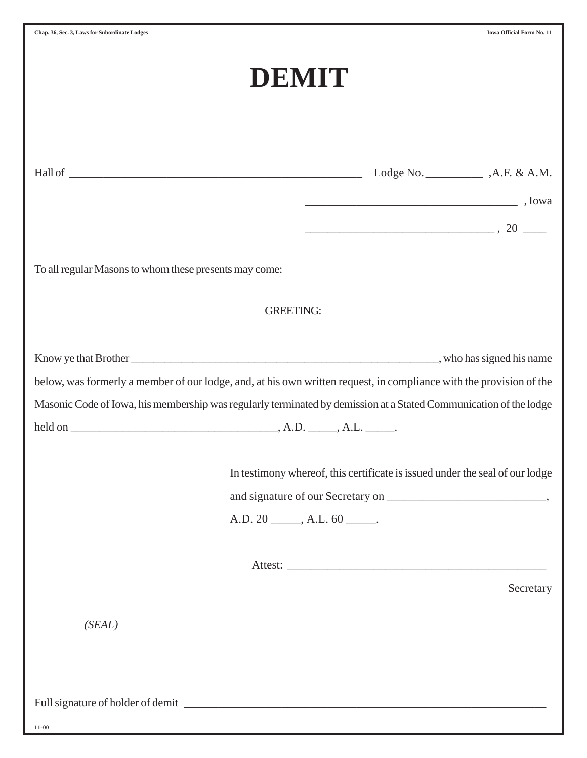|                                                                                                                                                                                                                                          | DEMIT                               |                                                                                                                                                                                                                                                                                                                                                                                                                                                                                       |           |
|------------------------------------------------------------------------------------------------------------------------------------------------------------------------------------------------------------------------------------------|-------------------------------------|---------------------------------------------------------------------------------------------------------------------------------------------------------------------------------------------------------------------------------------------------------------------------------------------------------------------------------------------------------------------------------------------------------------------------------------------------------------------------------------|-----------|
|                                                                                                                                                                                                                                          |                                     | $\overline{\phantom{a}}$ , Iowa                                                                                                                                                                                                                                                                                                                                                                                                                                                       |           |
| To all regular Masons to whom these presents may come:                                                                                                                                                                                   |                                     | $\begin{tabular}{c} \multicolumn{2}{c }{\textbf{5.5}} \end{tabular} \begin{tabular}{c} \multicolumn{2}{c }{\textbf{5.5}} \end{tabular}, \begin{tabular}{c} 20 \end{tabular} \begin{tabular}{c} \multicolumn{2}{c }{\textbf{5.5}} \end{tabular} \end{tabular} \begin{tabular}{c} \multicolumn{2}{c }{\textbf{5.5}} \end{tabular} \begin{tabular}{c} \multicolumn{2}{c }{\textbf{5.5}} \end{tabular} \begin{tabular}{c} \multicolumn{2}{c }{\textbf{5.5}} \end{tabular} \begin{tabular$ |           |
|                                                                                                                                                                                                                                          | <b>GREETING:</b>                    |                                                                                                                                                                                                                                                                                                                                                                                                                                                                                       |           |
| below, was formerly a member of our lodge, and, at his own written request, in compliance with the provision of the<br>Masonic Code of Iowa, his membership was regularly terminated by demission at a Stated Communication of the lodge |                                     |                                                                                                                                                                                                                                                                                                                                                                                                                                                                                       |           |
|                                                                                                                                                                                                                                          | $A.D. 20$ ______, $A.L. 60$ ______. | In testimony whereof, this certificate is issued under the seal of our lodge<br>Attest: <u>The Community of the Community of the Community of the Community of the Community of the Community of the Community of the Community of the Community of the Community of the Community of the Community of the Commu</u>                                                                                                                                                                  |           |
| (SEAL)                                                                                                                                                                                                                                   |                                     |                                                                                                                                                                                                                                                                                                                                                                                                                                                                                       | Secretary |
|                                                                                                                                                                                                                                          |                                     |                                                                                                                                                                                                                                                                                                                                                                                                                                                                                       |           |
| $11 - 00$                                                                                                                                                                                                                                |                                     |                                                                                                                                                                                                                                                                                                                                                                                                                                                                                       |           |